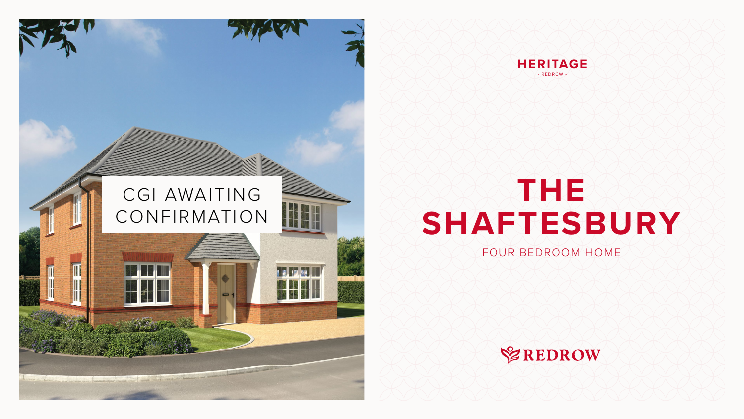# **THE SHAFTESBURY**

#### FOUR BEDROOM HOME







## CGI AWAITING CONFIRMATION

**CONSULTANT OF A PARTIES AND STANDARD OF A PARTIES OF A PARTIES OF A PARTIES OF A PARTIES OF A PARTIES OF A PARTIES** 

La comparativa de la companya de la companya de la companya de la companya de la companya de la companya de la

 $\blacksquare$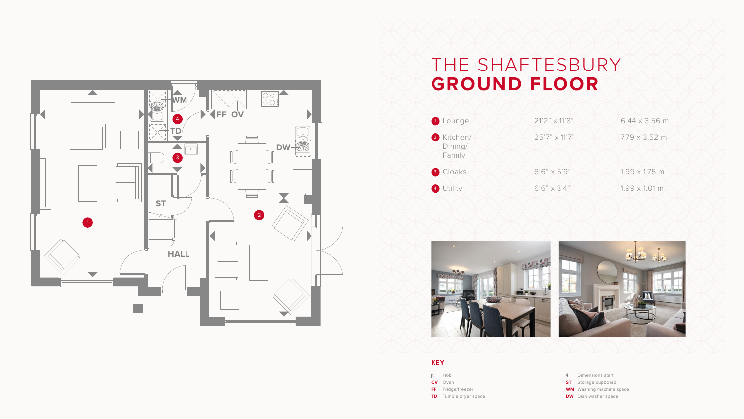### THE SHAFTESBURY **GROUND FLOOR**







#### **KEY**

- **SOLUTE:**
- **OV** Oven
- **FF** Fridge/freezer
- **TD** Tumble dryer space

Dimensions start

- **ST** Storage cupboard
- **WM** Washing machine space
- **DW** Dish washer space